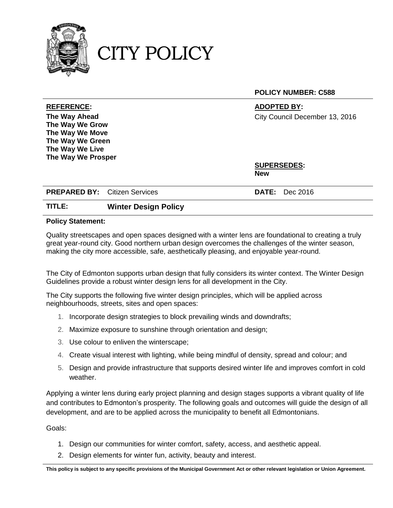

CITY POLICY

**POLICY NUMBER: C588**

**The Way Ahead The Way We Grow The Way We Move The Way We Green The Way We Live The Way We Prosper**

**REFERENCE: ADOPTED BY:** City Council December 13, 2016

> **SUPERSEDES: New**

**PREPARED BY:** Citizen Services **DATE:** Dec 2016

## **TITLE: Winter Design Policy**

## **Policy Statement:**

Quality streetscapes and open spaces designed with a winter lens are foundational to creating a truly great year-round city. Good northern urban design overcomes the challenges of the winter season, making the city more accessible, safe, aesthetically pleasing, and enjoyable year-round.

The City of Edmonton supports urban design that fully considers its winter context. The Winter Design Guidelines provide a robust winter design lens for all development in the City.

The City supports the following five winter design principles, which will be applied across neighbourhoods, streets, sites and open spaces:

- 1. Incorporate design strategies to block prevailing winds and downdrafts;
- 2. Maximize exposure to sunshine through orientation and design;
- 3. Use colour to enliven the winterscape;
- 4. Create visual interest with lighting, while being mindful of density, spread and colour; and
- 5. Design and provide infrastructure that supports desired winter life and improves comfort in cold weather.

Applying a winter lens during early project planning and design stages supports a vibrant quality of life and contributes to Edmonton's prosperity. The following goals and outcomes will guide the design of all development, and are to be applied across the municipality to benefit all Edmontonians.

Goals:

- 1. Design our communities for winter comfort, safety, access, and aesthetic appeal.
- 2. Design elements for winter fun, activity, beauty and interest.

**This policy is subject to any specific provisions of the Municipal Government Act or other relevant legislation or Union Agreement.**